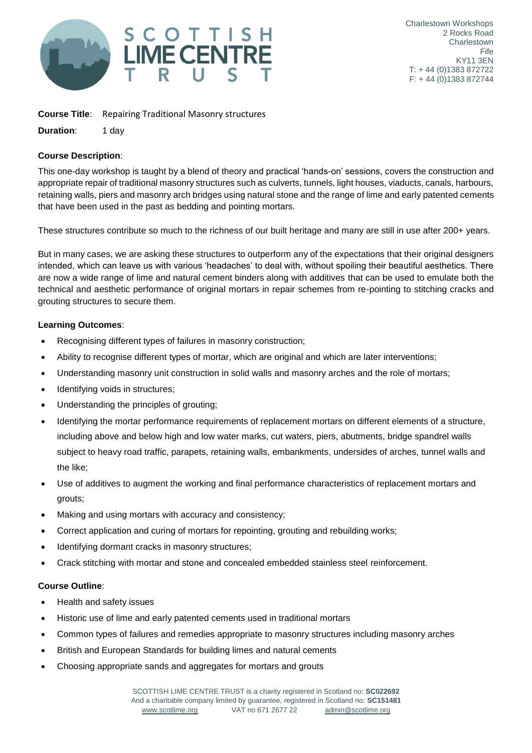

Charlestown Workshops 2 Rocks Road Charlestown Fife KY11 3EN T: + 44 (0)1383 872722 F: + 44 (0)1383 872744

**Course Title**: Repairing Traditional Masonry structures

**Duration:** 1 day

## **Course Description**:

This one-day workshop is taught by a blend of theory and practical 'hands-on' sessions, covers the construction and appropriate repair of traditional masonry structures such as culverts, tunnels, light houses, viaducts, canals, harbours, retaining walls, piers and masonry arch bridges using natural stone and the range of lime and early patented cements that have been used in the past as bedding and pointing mortars.

These structures contribute so much to the richness of our built heritage and many are still in use after 200+ years.

But in many cases, we are asking these structures to outperform any of the expectations that their original designers intended, which can leave us with various 'headaches' to deal with, without spoiling their beautiful aesthetics. There are now a wide range of lime and natural cement binders along with additives that can be used to emulate both the technical and aesthetic performance of original mortars in repair schemes from re-pointing to stitching cracks and grouting structures to secure them.

## **Learning Outcomes**:

- Recognising different types of failures in masonry construction;
- Ability to recognise different types of mortar, which are original and which are later interventions;
- Understanding masonry unit construction in solid walls and masonry arches and the role of mortars;
- Identifying voids in structures;
- Understanding the principles of grouting;
- Identifying the mortar performance requirements of replacement mortars on different elements of a structure, including above and below high and low water marks, cut waters, piers, abutments, bridge spandrel walls subject to heavy road traffic, parapets, retaining walls, embankments, undersides of arches, tunnel walls and the like;
- Use of additives to augment the working and final performance characteristics of replacement mortars and grouts;
- Making and using mortars with accuracy and consistency;
- Correct application and curing of mortars for repointing, grouting and rebuilding works;
- Identifying dormant cracks in masonry structures;
- Crack stitching with mortar and stone and concealed embedded stainless steel reinforcement.

## **Course Outline**:

- Health and safety issues
- Historic use of lime and early patented cements used in traditional mortars
- Common types of failures and remedies appropriate to masonry structures including masonry arches
- British and European Standards for building limes and natural cements
- Choosing appropriate sands and aggregates for mortars and grouts